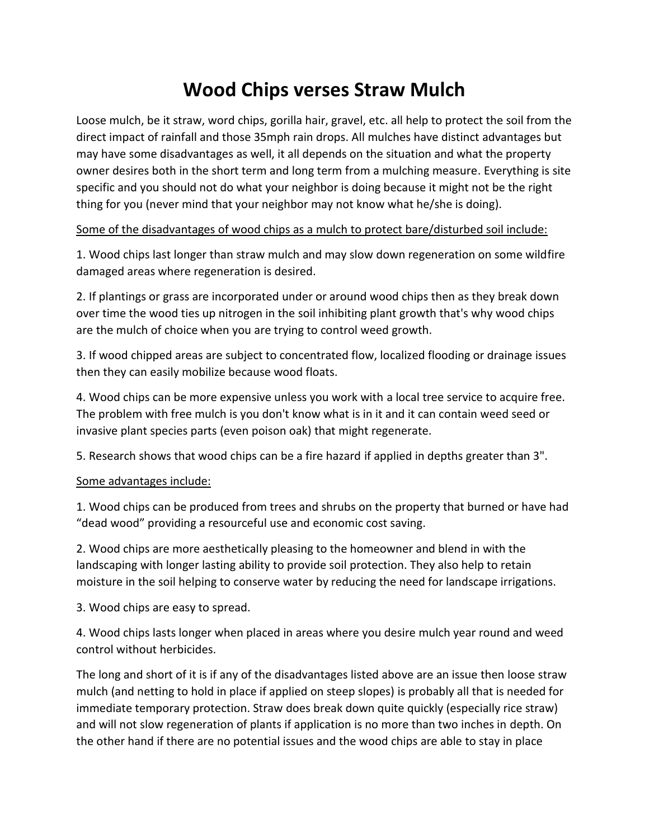## **Wood Chips verses Straw Mulch**

Loose mulch, be it straw, word chips, gorilla hair, gravel, etc. all help to protect the soil from the direct impact of rainfall and those 35mph rain drops. All mulches have distinct advantages but may have some disadvantages as well, it all depends on the situation and what the property owner desires both in the short term and long term from a mulching measure. Everything is site specific and you should not do what your neighbor is doing because it might not be the right thing for you (never mind that your neighbor may not know what he/she is doing).

## Some of the disadvantages of wood chips as a mulch to protect bare/disturbed soil include:

1. Wood chips last longer than straw mulch and may slow down regeneration on some wildfire damaged areas where regeneration is desired.

2. If plantings or grass are incorporated under or around wood chips then as they break down over time the wood ties up nitrogen in the soil inhibiting plant growth that's why wood chips are the mulch of choice when you are trying to control weed growth.

3. If wood chipped areas are subject to concentrated flow, localized flooding or drainage issues then they can easily mobilize because wood floats.

4. Wood chips can be more expensive unless you work with a local tree service to acquire free. The problem with free mulch is you don't know what is in it and it can contain weed seed or invasive plant species parts (even poison oak) that might regenerate.

5. Research shows that wood chips can be a fire hazard if applied in depths greater than 3".

## Some advantages include:

1. Wood chips can be produced from trees and shrubs on the property that burned or have had "dead wood" providing a resourceful use and economic cost saving.

2. Wood chips are more aesthetically pleasing to the homeowner and blend in with the landscaping with longer lasting ability to provide soil protection. They also help to retain moisture in the soil helping to conserve water by reducing the need for landscape irrigations.

3. Wood chips are easy to spread.

4. Wood chips lasts longer when placed in areas where you desire mulch year round and weed control without herbicides.

The long and short of it is if any of the disadvantages listed above are an issue then loose straw mulch (and netting to hold in place if applied on steep slopes) is probably all that is needed for immediate temporary protection. Straw does break down quite quickly (especially rice straw) and will not slow regeneration of plants if application is no more than two inches in depth. On the other hand if there are no potential issues and the wood chips are able to stay in place